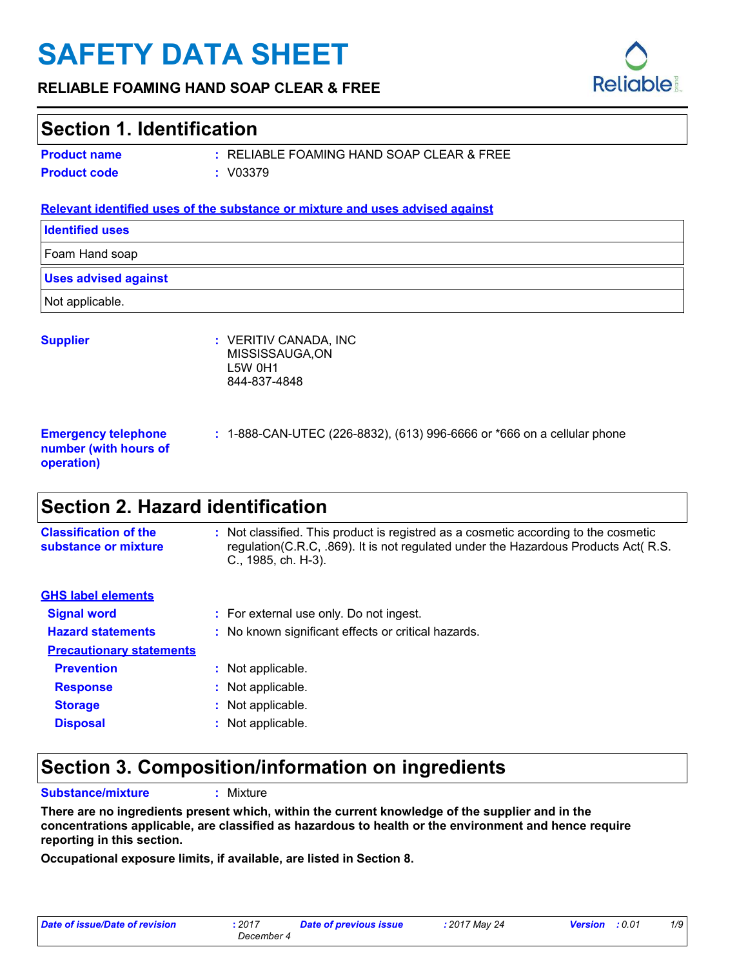# **SAFETY DATA SHEET**

#### **RELIABLE FOAMING HAND SOAP CLEAR & FREE**

### **Section 1. Identification**

**Product name**

RELIABLE FOAMING HAND SOAP CLEAR & FREE **: Product code :** V03379

#### **Relevant identified uses of the substance or mixture and uses advised against**

| <b>Identified uses</b>                                            |                                                                            |
|-------------------------------------------------------------------|----------------------------------------------------------------------------|
| Foam Hand soap                                                    |                                                                            |
| <b>Uses advised against</b>                                       |                                                                            |
| Not applicable.                                                   |                                                                            |
| <b>Supplier</b>                                                   | : VERITIV CANADA, INC<br>MISSISSAUGA, ON<br><b>L5W 0H1</b><br>844-837-4848 |
| <b>Emergency telephone</b><br>number (with hours of<br>operation) | : 1-888-CAN-UTEC (226-8832), (613) 996-6666 or *666 on a cellular phone    |
| - - -                                                             |                                                                            |

### **Section 2. Hazard identification**

| <b>Classification of the</b><br>substance or mixture | : Not classified. This product is registred as a cosmetic according to the cosmetic<br>regulation(C.R.C, .869). It is not regulated under the Hazardous Products Act( R.S.<br>C., 1985, ch. H-3). |
|------------------------------------------------------|---------------------------------------------------------------------------------------------------------------------------------------------------------------------------------------------------|
| <b>GHS label elements</b>                            |                                                                                                                                                                                                   |
| <b>Signal word</b>                                   | : For external use only. Do not ingest.                                                                                                                                                           |
| <b>Hazard statements</b>                             | : No known significant effects or critical hazards.                                                                                                                                               |
| <b>Precautionary statements</b>                      |                                                                                                                                                                                                   |
| <b>Prevention</b>                                    | : Not applicable.                                                                                                                                                                                 |
| <b>Response</b>                                      | : Not applicable.                                                                                                                                                                                 |
| <b>Storage</b>                                       | : Not applicable.                                                                                                                                                                                 |
| <b>Disposal</b>                                      | Not applicable.                                                                                                                                                                                   |

### **Section 3. Composition/information on ingredients**

**Substance/mixture :**

: Mixture

**There are no ingredients present which, within the current knowledge of the supplier and in the concentrations applicable, are classified as hazardous to health or the environment and hence require reporting in this section.**

**Occupational exposure limits, if available, are listed in Section 8.**

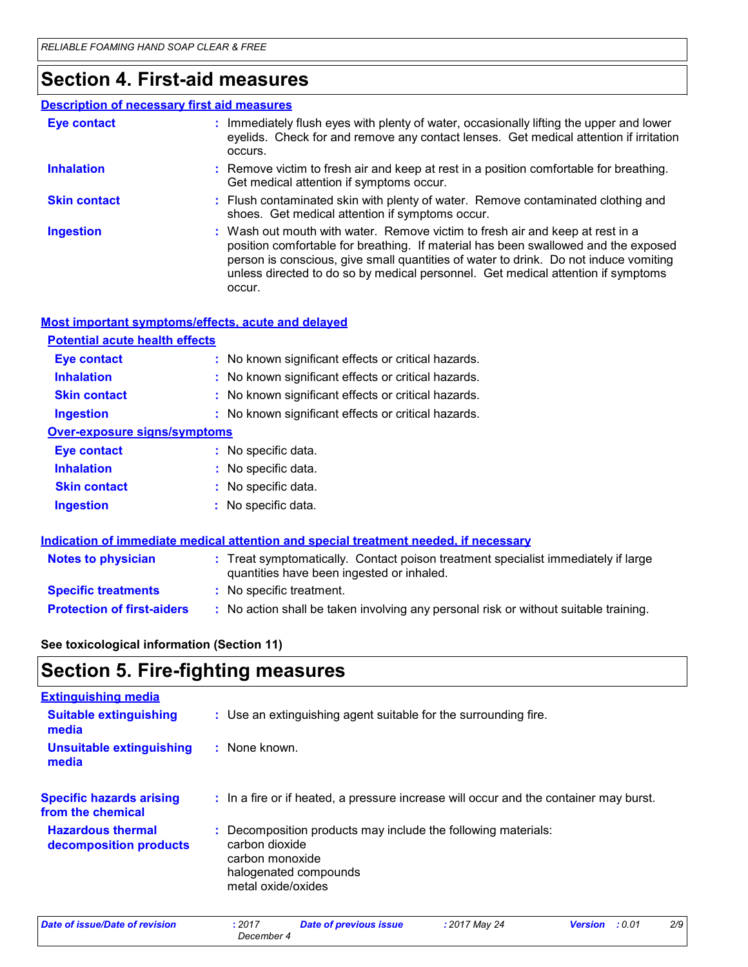### **Section 4. First-aid measures**

#### Wash out mouth with water. Remove victim to fresh air and keep at rest in a position comfortable for breathing. If material has been swallowed and the exposed person is conscious, give small quantities of water to drink. Do not induce vomiting unless directed to do so by medical personnel. Get medical attention if symptoms occur. **:** Immediately flush eyes with plenty of water, occasionally lifting the upper and lower eyelids. Check for and remove any contact lenses. Get medical attention if irritation occurs. Flush contaminated skin with plenty of water. Remove contaminated clothing and **:** shoes. Get medical attention if symptoms occur. Remove victim to fresh air and keep at rest in a position comfortable for breathing. **:** Get medical attention if symptoms occur. **Eye contact Skin contact Inhalation Ingestion : Description of necessary first aid measures**

| Most important symptoms/effects, acute and delayed |                                                     |  |
|----------------------------------------------------|-----------------------------------------------------|--|
| <b>Potential acute health effects</b>              |                                                     |  |
| <b>Eye contact</b>                                 | : No known significant effects or critical hazards. |  |
| <b>Inhalation</b>                                  | : No known significant effects or critical hazards. |  |
| <b>Skin contact</b>                                | : No known significant effects or critical hazards. |  |
| <b>Ingestion</b>                                   | : No known significant effects or critical hazards. |  |
| Over-exposure signs/symptoms                       |                                                     |  |
| <b>Eye contact</b>                                 | : No specific data.                                 |  |
| <b>Inhalation</b>                                  | : No specific data.                                 |  |
| <b>Skin contact</b>                                | : No specific data.                                 |  |
| <b>Ingestion</b>                                   | : No specific data.                                 |  |
|                                                    |                                                     |  |

| Indication of immediate medical attention and special treatment needed, if necessary |                                                                                                                                |  |
|--------------------------------------------------------------------------------------|--------------------------------------------------------------------------------------------------------------------------------|--|
| <b>Notes to physician</b>                                                            | : Treat symptomatically. Contact poison treatment specialist immediately if large<br>quantities have been ingested or inhaled. |  |
| <b>Specific treatments</b>                                                           | : No specific treatment.                                                                                                       |  |
| <b>Protection of first-aiders</b>                                                    | : No action shall be taken involving any personal risk or without suitable training.                                           |  |

**See toxicological information (Section 11)**

### **Section 5. Fire-fighting measures**

| <b>Extinguishing media</b>                           |                                                                                                                                                   |
|------------------------------------------------------|---------------------------------------------------------------------------------------------------------------------------------------------------|
| <b>Suitable extinguishing</b><br>media               | : Use an extinguishing agent suitable for the surrounding fire.                                                                                   |
| Unsuitable extinguishing<br>media                    | : None known.                                                                                                                                     |
| <b>Specific hazards arising</b><br>from the chemical | : In a fire or if heated, a pressure increase will occur and the container may burst.                                                             |
| <b>Hazardous thermal</b><br>decomposition products   | : Decomposition products may include the following materials:<br>carbon dioxide<br>carbon monoxide<br>halogenated compounds<br>metal oxide/oxides |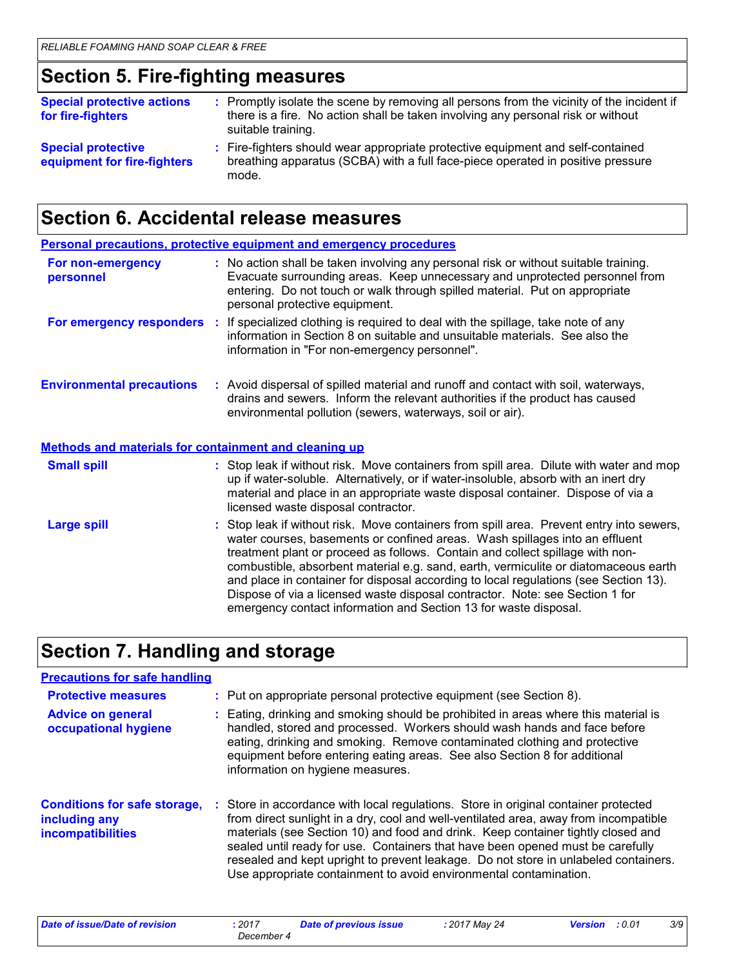### **Section 5. Fire-fighting measures**

| <b>Special protective actions</b><br>for fire-fighters   | : Promptly isolate the scene by removing all persons from the vicinity of the incident if<br>there is a fire. No action shall be taken involving any personal risk or without<br>suitable training. |
|----------------------------------------------------------|-----------------------------------------------------------------------------------------------------------------------------------------------------------------------------------------------------|
| <b>Special protective</b><br>equipment for fire-fighters | : Fire-fighters should wear appropriate protective equipment and self-contained<br>breathing apparatus (SCBA) with a full face-piece operated in positive pressure<br>mode.                         |

# **Section 6. Accidental release measures**

|                                                              | <b>Personal precautions, protective equipment and emergency procedures</b>                                                                                                                                                                                                                                                                                                                                                                                                                                                                                                                  |
|--------------------------------------------------------------|---------------------------------------------------------------------------------------------------------------------------------------------------------------------------------------------------------------------------------------------------------------------------------------------------------------------------------------------------------------------------------------------------------------------------------------------------------------------------------------------------------------------------------------------------------------------------------------------|
| For non-emergency<br>personnel                               | : No action shall be taken involving any personal risk or without suitable training.<br>Evacuate surrounding areas. Keep unnecessary and unprotected personnel from<br>entering. Do not touch or walk through spilled material. Put on appropriate<br>personal protective equipment.                                                                                                                                                                                                                                                                                                        |
|                                                              | For emergency responders : If specialized clothing is required to deal with the spillage, take note of any<br>information in Section 8 on suitable and unsuitable materials. See also the<br>information in "For non-emergency personnel".                                                                                                                                                                                                                                                                                                                                                  |
| <b>Environmental precautions</b>                             | : Avoid dispersal of spilled material and runoff and contact with soil, waterways,<br>drains and sewers. Inform the relevant authorities if the product has caused<br>environmental pollution (sewers, waterways, soil or air).                                                                                                                                                                                                                                                                                                                                                             |
| <b>Methods and materials for containment and cleaning up</b> |                                                                                                                                                                                                                                                                                                                                                                                                                                                                                                                                                                                             |
| <b>Small spill</b>                                           | : Stop leak if without risk. Move containers from spill area. Dilute with water and mop<br>up if water-soluble. Alternatively, or if water-insoluble, absorb with an inert dry<br>material and place in an appropriate waste disposal container. Dispose of via a<br>licensed waste disposal contractor.                                                                                                                                                                                                                                                                                    |
| <b>Large spill</b>                                           | : Stop leak if without risk. Move containers from spill area. Prevent entry into sewers,<br>water courses, basements or confined areas. Wash spillages into an effluent<br>treatment plant or proceed as follows. Contain and collect spillage with non-<br>combustible, absorbent material e.g. sand, earth, vermiculite or diatomaceous earth<br>and place in container for disposal according to local regulations (see Section 13).<br>Dispose of via a licensed waste disposal contractor. Note: see Section 1 for<br>emergency contact information and Section 13 for waste disposal. |

# **Section 7. Handling and storage**

### **Precautions for safe handling**

| <b>Protective measures</b>                                                       | : Put on appropriate personal protective equipment (see Section 8).                                                                                                                                                                                                                                                                                                                                                                                                                                           |
|----------------------------------------------------------------------------------|---------------------------------------------------------------------------------------------------------------------------------------------------------------------------------------------------------------------------------------------------------------------------------------------------------------------------------------------------------------------------------------------------------------------------------------------------------------------------------------------------------------|
| <b>Advice on general</b><br>occupational hygiene                                 | : Eating, drinking and smoking should be prohibited in areas where this material is<br>handled, stored and processed. Workers should wash hands and face before<br>eating, drinking and smoking. Remove contaminated clothing and protective<br>equipment before entering eating areas. See also Section 8 for additional<br>information on hygiene measures.                                                                                                                                                 |
| <b>Conditions for safe storage,</b><br>including any<br><b>incompatibilities</b> | : Store in accordance with local regulations. Store in original container protected<br>from direct sunlight in a dry, cool and well-ventilated area, away from incompatible<br>materials (see Section 10) and food and drink. Keep container tightly closed and<br>sealed until ready for use. Containers that have been opened must be carefully<br>resealed and kept upright to prevent leakage. Do not store in unlabeled containers.<br>Use appropriate containment to avoid environmental contamination. |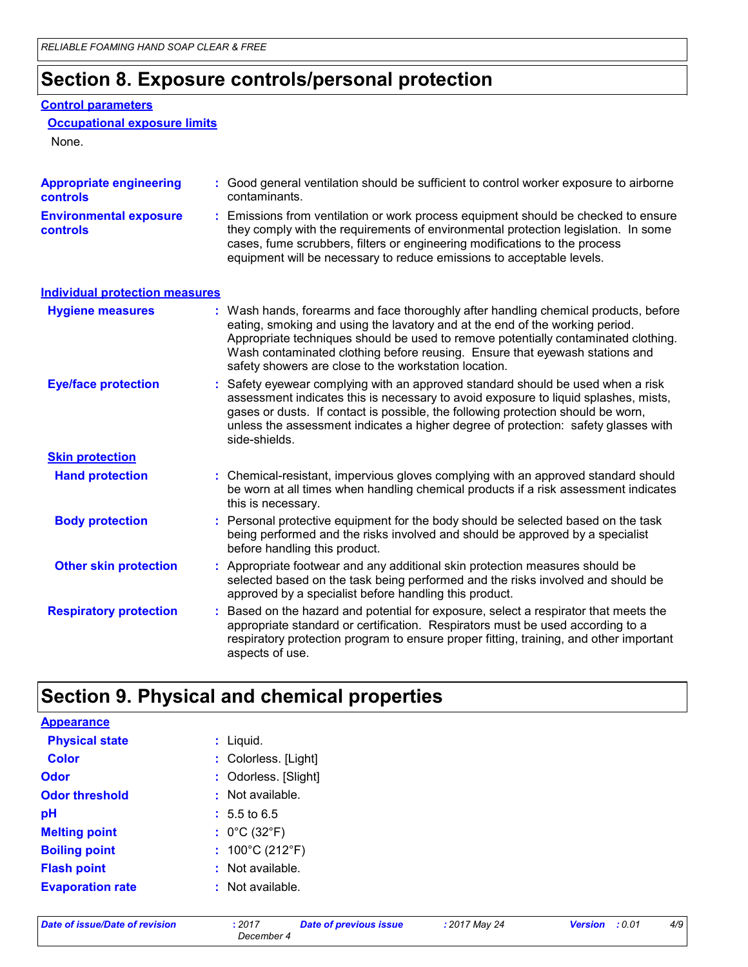# **Section 8. Exposure controls/personal protection**

#### **Control parameters**

```
Occupational exposure limits
```
None.

| <b>Appropriate engineering</b><br><b>controls</b> | : Good general ventilation should be sufficient to control worker exposure to airborne<br>contaminants.                                                                                                                                                                                                                                                                                           |  |
|---------------------------------------------------|---------------------------------------------------------------------------------------------------------------------------------------------------------------------------------------------------------------------------------------------------------------------------------------------------------------------------------------------------------------------------------------------------|--|
| <b>Environmental exposure</b><br><b>controls</b>  | Emissions from ventilation or work process equipment should be checked to ensure<br>they comply with the requirements of environmental protection legislation. In some<br>cases, fume scrubbers, filters or engineering modifications to the process<br>equipment will be necessary to reduce emissions to acceptable levels.                                                                     |  |
| <b>Individual protection measures</b>             |                                                                                                                                                                                                                                                                                                                                                                                                   |  |
| <b>Hygiene measures</b>                           | : Wash hands, forearms and face thoroughly after handling chemical products, before<br>eating, smoking and using the lavatory and at the end of the working period.<br>Appropriate techniques should be used to remove potentially contaminated clothing.<br>Wash contaminated clothing before reusing. Ensure that eyewash stations and<br>safety showers are close to the workstation location. |  |
| <b>Eye/face protection</b>                        | Safety eyewear complying with an approved standard should be used when a risk<br>assessment indicates this is necessary to avoid exposure to liquid splashes, mists,<br>gases or dusts. If contact is possible, the following protection should be worn,<br>unless the assessment indicates a higher degree of protection: safety glasses with<br>side-shields.                                   |  |
| <b>Skin protection</b>                            |                                                                                                                                                                                                                                                                                                                                                                                                   |  |
| <b>Hand protection</b>                            | : Chemical-resistant, impervious gloves complying with an approved standard should<br>be worn at all times when handling chemical products if a risk assessment indicates<br>this is necessary.                                                                                                                                                                                                   |  |
| <b>Body protection</b>                            | Personal protective equipment for the body should be selected based on the task<br>being performed and the risks involved and should be approved by a specialist<br>before handling this product.                                                                                                                                                                                                 |  |
| <b>Other skin protection</b>                      | : Appropriate footwear and any additional skin protection measures should be<br>selected based on the task being performed and the risks involved and should be<br>approved by a specialist before handling this product.                                                                                                                                                                         |  |
| <b>Respiratory protection</b>                     | Based on the hazard and potential for exposure, select a respirator that meets the<br>appropriate standard or certification. Respirators must be used according to a<br>respiratory protection program to ensure proper fitting, training, and other important<br>aspects of use.                                                                                                                 |  |

# **Section 9. Physical and chemical properties**

| $:$ Liquid.                          |
|--------------------------------------|
| : Colorless. [Light]                 |
| : Odorless. [Slight]                 |
| : Not available.                     |
| $: 5.5 \text{ to } 6.5$              |
| : $0^{\circ}$ C (32 $^{\circ}$ F)    |
| : $100^{\circ}$ C (212 $^{\circ}$ F) |
| Not available.<br>÷                  |
| : Not available.                     |
|                                      |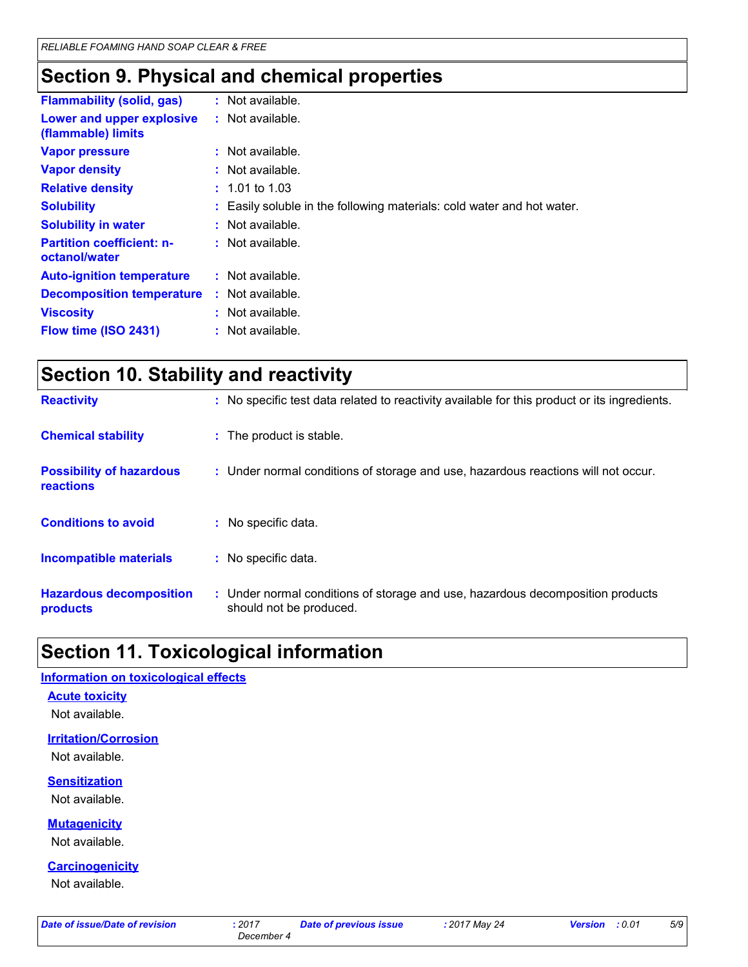# **Section 9. Physical and chemical properties**

| <b>Flammability (solid, gas)</b>                  | $:$ Not available.                                                     |
|---------------------------------------------------|------------------------------------------------------------------------|
| Lower and upper explosive<br>(flammable) limits   | : Not available.                                                       |
| <b>Vapor pressure</b>                             | : Not available.                                                       |
| <b>Vapor density</b>                              | $:$ Not available.                                                     |
| <b>Relative density</b>                           | $: 1.01$ to 1.03                                                       |
| <b>Solubility</b>                                 | : Easily soluble in the following materials: cold water and hot water. |
| <b>Solubility in water</b>                        | $:$ Not available.                                                     |
| <b>Partition coefficient: n-</b><br>octanol/water | : Not available.                                                       |
| <b>Auto-ignition temperature</b>                  | : Not available.                                                       |
| <b>Decomposition temperature</b>                  | $:$ Not available.                                                     |
| <b>Viscosity</b>                                  | $:$ Not available.                                                     |
| Flow time (ISO 2431)                              | : Not available.                                                       |

| <b>Section 10. Stability and reactivity</b>  |                                                                                              |  |
|----------------------------------------------|----------------------------------------------------------------------------------------------|--|
| <b>Reactivity</b>                            | : No specific test data related to reactivity available for this product or its ingredients. |  |
| <b>Chemical stability</b>                    | : The product is stable.                                                                     |  |
| <b>Possibility of hazardous</b><br>reactions | : Under normal conditions of storage and use, hazardous reactions will not occur.            |  |
| <b>Conditions to avoid</b>                   | : No specific data.                                                                          |  |
| <b>Incompatible materials</b>                | : No specific data.                                                                          |  |
|                                              |                                                                                              |  |

#### **Hazardous decomposition products :** Under normal conditions of storage and use, hazardous decomposition products should not be produced.

### **Section 11. Toxicological information**

#### **Information on toxicological effects**

#### **Acute toxicity**

Not available.

**Irritation/Corrosion**

Not available.

#### **Sensitization**

Not available.

**Mutagenicity**

Not available.

**Carcinogenicity**

Not available.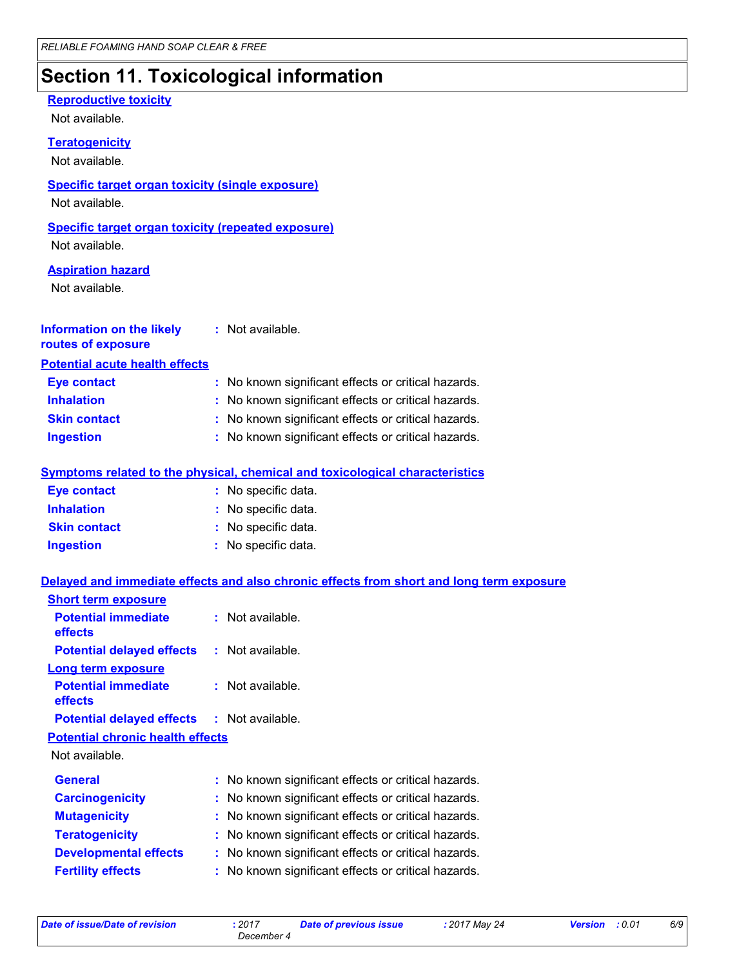# **Section 11. Toxicological information**

#### **Reproductive toxicity**

Not available.

#### **Teratogenicity**

Not available.

#### **Specific target organ toxicity (single exposure)**

Not available.

#### **Specific target organ toxicity (repeated exposure)**

Not available.

#### **Aspiration hazard**

Not available.

| <b>Information on the likely</b><br>routes of exposure | : Not available.                                    |
|--------------------------------------------------------|-----------------------------------------------------|
| <b>Potential acute health effects</b>                  |                                                     |
| <b>Eye contact</b>                                     | : No known significant effects or critical hazards. |
| <b>Inhalation</b>                                      | : No known significant effects or critical hazards. |
| <b>Skin contact</b>                                    | : No known significant effects or critical hazards. |

**Ingestion :** No known significant effects or critical hazards.

#### **Symptoms related to the physical, chemical and toxicological characteristics**

| <b>Eye contact</b>  | : No specific data. |
|---------------------|---------------------|
| <b>Inhalation</b>   | : No specific data. |
| <b>Skin contact</b> | : No specific data. |
| <b>Ingestion</b>    | : No specific data. |

#### **Delayed and immediate effects and also chronic effects from short and long term exposure**

| <b>Short term exposure</b>                        |                                                     |
|---------------------------------------------------|-----------------------------------------------------|
| <b>Potential immediate</b><br><b>effects</b>      | $:$ Not available.                                  |
| <b>Potential delayed effects</b>                  | : Not available.                                    |
| Long term exposure                                |                                                     |
| <b>Potential immediate</b><br><b>effects</b>      | $:$ Not available.                                  |
| <b>Potential delayed effects : Not available.</b> |                                                     |
| <b>Potential chronic health effects</b>           |                                                     |
| Not available.                                    |                                                     |
| <b>General</b>                                    | : No known significant effects or critical hazards. |
| <b>Carcinogenicity</b>                            | : No known significant effects or critical hazards. |
| <b>Mutagenicity</b>                               | : No known significant effects or critical hazards. |
| <b>Teratogenicity</b>                             | : No known significant effects or critical hazards. |
| <b>Developmental effects</b>                      | : No known significant effects or critical hazards. |
| <b>Fertility effects</b>                          | : No known significant effects or critical hazards. |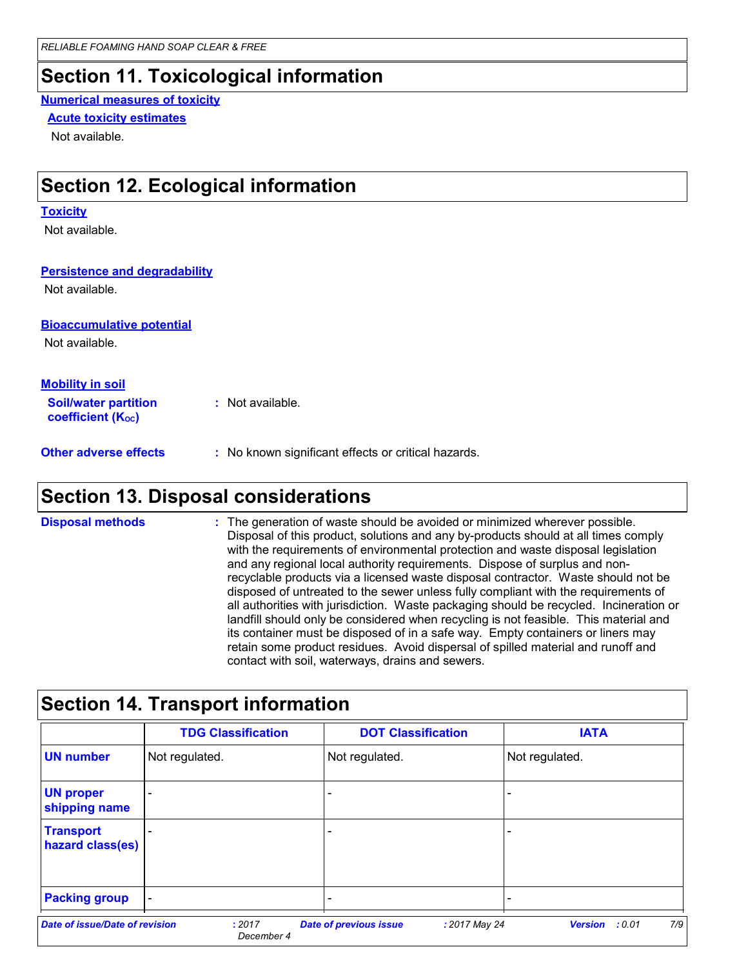### **Section 11. Toxicological information**

#### **Numerical measures of toxicity**

#### **Acute toxicity estimates**

Not available.

### **Section 12. Ecological information**

#### **Toxicity**

Not available.

#### **Persistence and degradability**

Not available.

#### **Bioaccumulative potential**

Not available.

| <b>Mobility in soil</b>                                       |                                                                                                                                                                                                                                      |
|---------------------------------------------------------------|--------------------------------------------------------------------------------------------------------------------------------------------------------------------------------------------------------------------------------------|
| <b>Soil/water partition</b><br>coefficient (K <sub>oc</sub> ) | : Not available.                                                                                                                                                                                                                     |
| All control control of the state                              | <b>Solution International Activity of Contract Contract Contract Contract Contract Contract Contract Contract Contract Contract Contract Contract Contract Contract Contract Contract Contract Contract Contract Contract Contra</b> |

**Other adverse effects** : No known significant effects or critical hazards.

### **Section 13. Disposal considerations**

The generation of waste should be avoided or minimized wherever possible. Disposal of this product, solutions and any by-products should at all times comply with the requirements of environmental protection and waste disposal legislation and any regional local authority requirements. Dispose of surplus and nonrecyclable products via a licensed waste disposal contractor. Waste should not be disposed of untreated to the sewer unless fully compliant with the requirements of all authorities with jurisdiction. Waste packaging should be recycled. Incineration or landfill should only be considered when recycling is not feasible. This material and its container must be disposed of in a safe way. Empty containers or liners may retain some product residues. Avoid dispersal of spilled material and runoff and contact with soil, waterways, drains and sewers. **Disposal methods :**

|                                      | <b>TDG Classification</b> | <b>DOT Classification</b> | <b>IATA</b>    |
|--------------------------------------|---------------------------|---------------------------|----------------|
| <b>UN number</b>                     | Not regulated.            | Not regulated.            | Not regulated. |
| <b>UN proper</b><br>shipping name    |                           |                           |                |
| <b>Transport</b><br>hazard class(es) |                           |                           |                |
| <b>Packing group</b>                 |                           |                           |                |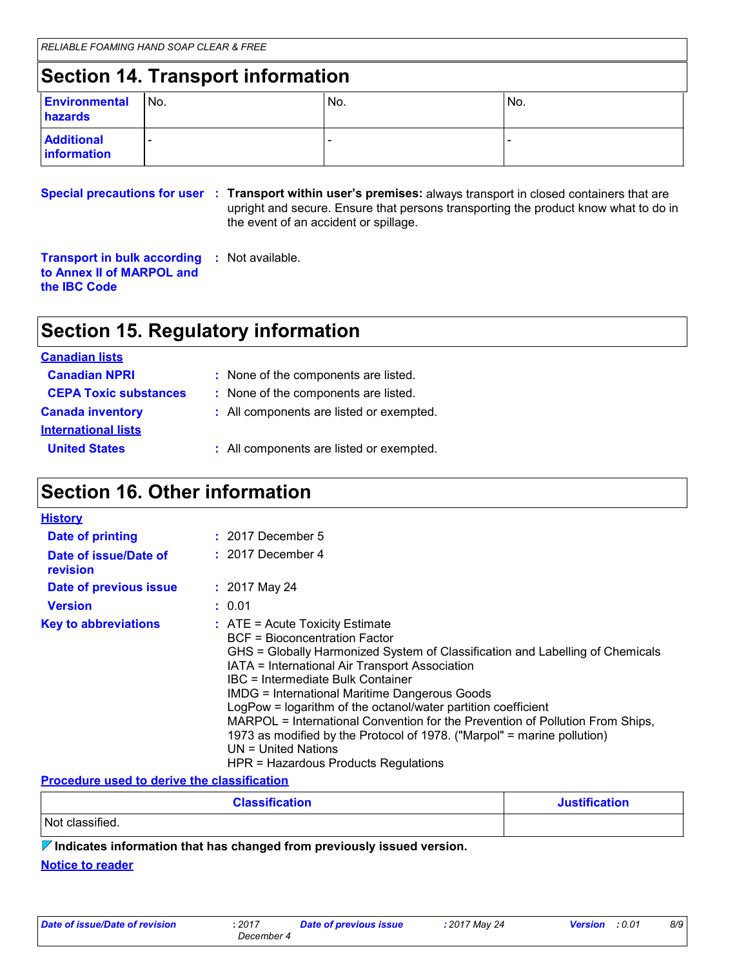# **Section 14. Transport information**

| <b>Environmental</b><br>hazards  | No. | No.                      | No. |
|----------------------------------|-----|--------------------------|-----|
| <b>Additional</b><br>information |     | $\overline{\phantom{a}}$ |     |

**Special precautions for user Transport within user's premises:** always transport in closed containers that are **:** upright and secure. Ensure that persons transporting the product know what to do in the event of an accident or spillage.

**Transport in bulk according :** Not available. **to Annex II of MARPOL and the IBC Code**

# **Section 15. Regulatory information**

| <b>Canadian lists</b>        |                                          |
|------------------------------|------------------------------------------|
| <b>Canadian NPRI</b>         | : None of the components are listed.     |
| <b>CEPA Toxic substances</b> | : None of the components are listed.     |
| <b>Canada inventory</b>      | : All components are listed or exempted. |
| <b>International lists</b>   |                                          |
| <b>United States</b>         | : All components are listed or exempted. |

### **Section 16. Other information**

| <b>History</b>                    |                                                                                                                                                                                                                                                                                                                                                                                                                                                                                                                                                                                                           |
|-----------------------------------|-----------------------------------------------------------------------------------------------------------------------------------------------------------------------------------------------------------------------------------------------------------------------------------------------------------------------------------------------------------------------------------------------------------------------------------------------------------------------------------------------------------------------------------------------------------------------------------------------------------|
| Date of printing                  | $: 2017$ December 5                                                                                                                                                                                                                                                                                                                                                                                                                                                                                                                                                                                       |
| Date of issue/Date of<br>revision | $: 2017$ December 4                                                                                                                                                                                                                                                                                                                                                                                                                                                                                                                                                                                       |
| Date of previous issue            | $: 2017$ May 24                                                                                                                                                                                                                                                                                                                                                                                                                                                                                                                                                                                           |
| <b>Version</b>                    | : 0.01                                                                                                                                                                                                                                                                                                                                                                                                                                                                                                                                                                                                    |
| <b>Key to abbreviations</b>       | $\therefore$ ATE = Acute Toxicity Estimate<br>BCF = Bioconcentration Factor<br>GHS = Globally Harmonized System of Classification and Labelling of Chemicals<br>IATA = International Air Transport Association<br>IBC = Intermediate Bulk Container<br><b>IMDG = International Maritime Dangerous Goods</b><br>LogPow = logarithm of the octanol/water partition coefficient<br>MARPOL = International Convention for the Prevention of Pollution From Ships,<br>1973 as modified by the Protocol of 1978. ("Marpol" = marine pollution)<br>$UN = United Nations$<br>HPR = Hazardous Products Regulations |

#### **Procedure used to derive the classification**

| <b>Classification</b> | <b>Justification</b> |
|-----------------------|----------------------|
| Not classified.       |                      |

**Indicates information that has changed from previously issued version.**

#### **Notice to reader**